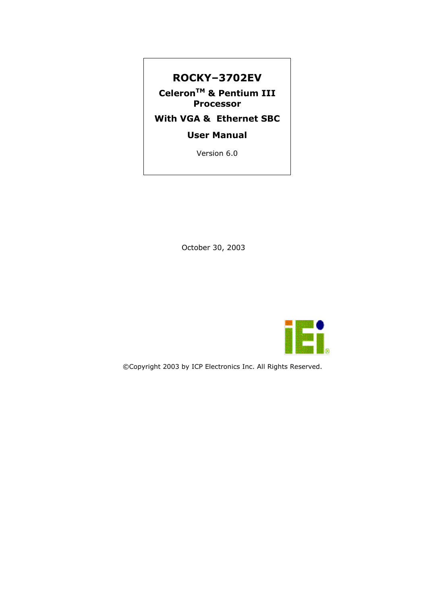#### **ROCKY–3702EV**

**CeleronTM & Pentium III Processor** 

#### **With VGA & Ethernet SBC**

**User Manual** 

Version 6.0

October 30, 2003



©Copyright 2003 by ICP Electronics Inc. All Rights Reserved.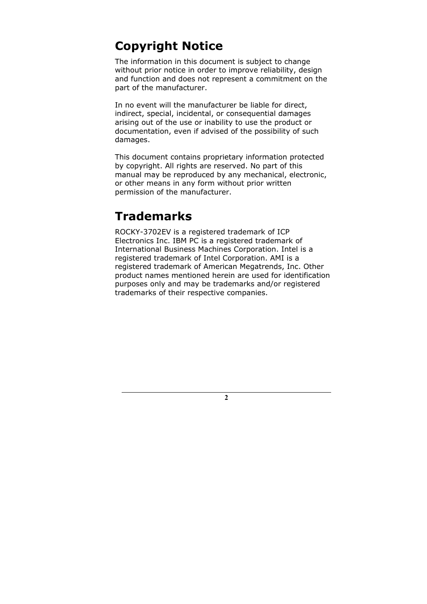# **Copyright Notice**

The information in this document is subject to change without prior notice in order to improve reliability, design and function and does not represent a commitment on the part of the manufacturer.

In no event will the manufacturer be liable for direct, indirect, special, incidental, or consequential damages arising out of the use or inability to use the product or documentation, even if advised of the possibility of such damages.

This document contains proprietary information protected by copyright. All rights are reserved. No part of this manual may be reproduced by any mechanical, electronic, or other means in any form without prior written permission of the manufacturer.

# **Trademarks**

ROCKY-3702EV is a registered trademark of ICP Electronics Inc. IBM PC is a registered trademark of International Business Machines Corporation. Intel is a registered trademark of Intel Corporation. AMI is a registered trademark of American Megatrends, Inc. Other product names mentioned herein are used for identification purposes only and may be trademarks and/or registered trademarks of their respective companies.

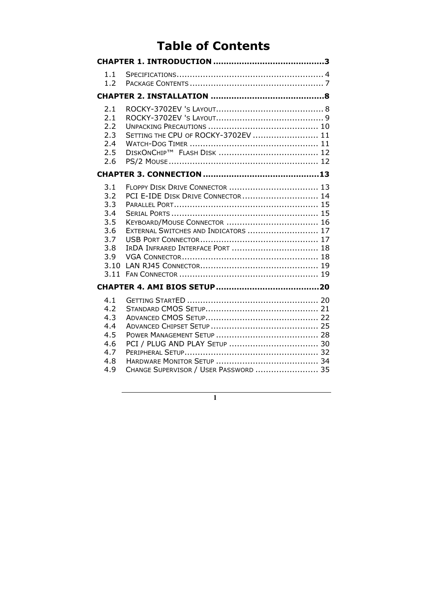# **Table of Contents**

| 1.1<br>1.2                                                          |                                                                                                                                                   |
|---------------------------------------------------------------------|---------------------------------------------------------------------------------------------------------------------------------------------------|
|                                                                     |                                                                                                                                                   |
| 2.1<br>2.1<br>2.2<br>2.3<br>2.4<br>2.5<br>2.6                       | SETTING THE CPU OF ROCKY-3702EV  11                                                                                                               |
|                                                                     |                                                                                                                                                   |
| 3.1<br>3.2<br>3.3<br>3.4<br>3.5<br>3.6<br>3.7<br>3.8<br>3.9<br>3.10 | FLOPPY DISK DRIVE CONNECTOR  13<br>PCI E-IDE DISK DRIVE CONNECTOR  14<br>EXTERNAL SWITCHES AND INDICATORS  17<br>IRDA INFRARED INTERFACE PORT  18 |
|                                                                     |                                                                                                                                                   |
| 4.1<br>4.2<br>4.3<br>4.4<br>4.5<br>4.6<br>4.7<br>4.8<br>4.9         | CHANGE SUPERVISOR / USER PASSWORD  35                                                                                                             |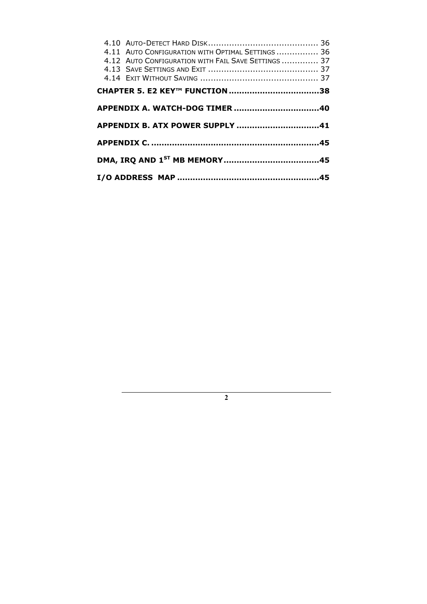| 4.11 AUTO CONFIGURATION WITH OPTIMAL SETTINGS  36   |  |
|-----------------------------------------------------|--|
| 4.12 AUTO CONFIGURATION WITH FAIL SAVE SETTINGS  37 |  |
|                                                     |  |
|                                                     |  |
|                                                     |  |
|                                                     |  |
| APPENDIX B. ATX POWER SUPPLY 41                     |  |
|                                                     |  |
|                                                     |  |
|                                                     |  |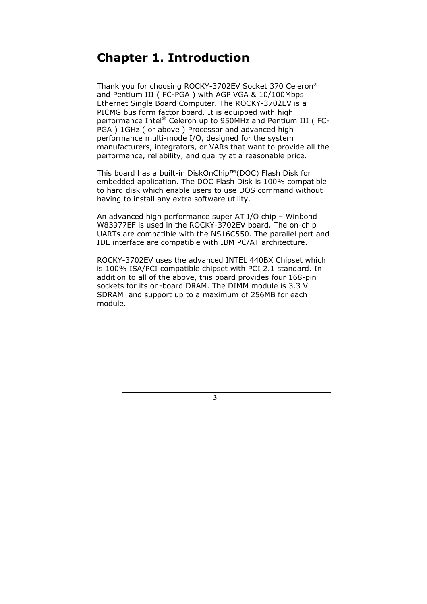### **Chapter 1. Introduction**

Thank you for choosing ROCKY-3702EV Socket 370 Celeron® and Pentium III ( FC-PGA ) with AGP VGA & 10/100Mbps Ethernet Single Board Computer. The ROCKY-3702EV is a PICMG bus form factor board. It is equipped with high performance Intel® Celeron up to 950MHz and Pentium III ( FC-PGA ) 1GHz ( or above ) Processor and advanced high performance multi-mode I/O, designed for the system manufacturers, integrators, or VARs that want to provide all the performance, reliability, and quality at a reasonable price.

This board has a built-in DiskOnChip™(DOC) Flash Disk for embedded application. The DOC Flash Disk is 100% compatible to hard disk which enable users to use DOS command without having to install any extra software utility.

An advanced high performance super AT I/O chip – Winbond W83977EF is used in the ROCKY-3702EV board. The on-chip UARTs are compatible with the NS16C550. The parallel port and IDE interface are compatible with IBM PC/AT architecture.

ROCKY-3702EV uses the advanced INTEL 440BX Chipset which is 100% ISA/PCI compatible chipset with PCI 2.1 standard. In addition to all of the above, this board provides four 168-pin sockets for its on-board DRAM. The DIMM module is 3.3 V SDRAM and support up to a maximum of 256MB for each module.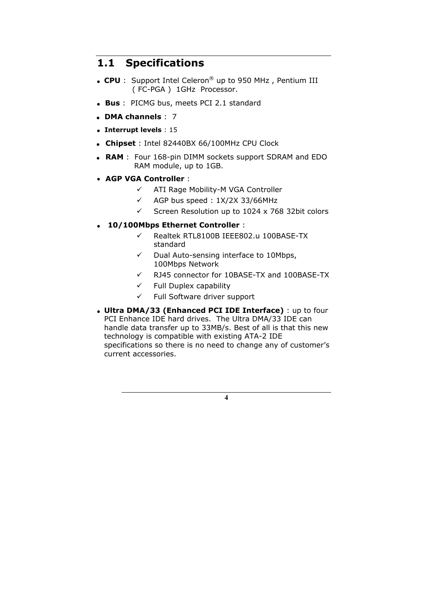### **1.1 Specifications**

- **CPU** : Support Intel Celeron® up to 950 MHz , Pentium III ( FC-PGA ) 1GHz Processor.
- **Bus** : PICMG bus, meets PCI 2.1 standard
- **DMA channels** : 7
- **Interrupt levels** : 15
- **Chipset** : Intel 82440BX 66/100MHz CPU Clock
- **RAM** : Four 168-pin DIMM sockets support SDRAM and EDO RAM module, up to 1GB.
- **AGP VGA Controller** :
	- $\checkmark$  ATI Rage Mobility-M VGA Controller
	- $\checkmark$  AGP bus speed : 1X/2X 33/66MHz
	- $\checkmark$  Screen Resolution up to 1024 x 768 32bit colors

#### • **10/100Mbps Ethernet Controller** :

- 9 Realtek RTL8100B IEEE802.u 100BASE-TX standard
- $\checkmark$  Dual Auto-sensing interface to 10Mbps, 100Mbps Network
- $\checkmark$  RJ45 connector for 10BASE-TX and 100BASE-TX
- $\checkmark$  Full Duplex capability
- $\checkmark$  Full Software driver support
- **Ultra DMA/33 (Enhanced PCI IDE Interface)** : up to four PCI Enhance IDE hard drives. The Ultra DMA/33 IDE can handle data transfer up to 33MB/s. Best of all is that this new technology is compatible with existing ATA-2 IDE specifications so there is no need to change any of customer's current accessories.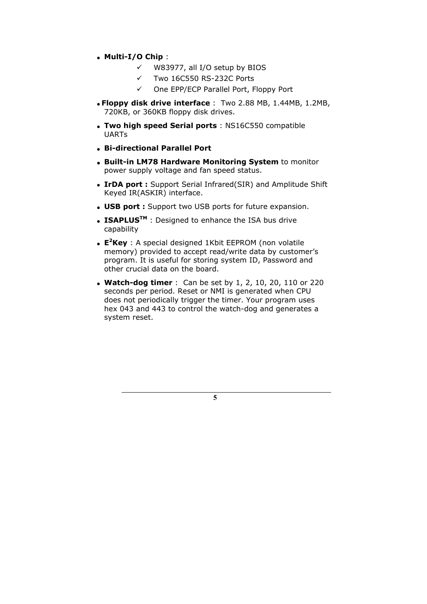#### • **Multi-I/O Chip** :

- $\checkmark$  W83977, all I/O setup by BIOS
- $\checkmark$  Two 16C550 RS-232C Ports
- 9 One EPP/ECP Parallel Port, Floppy Port
- **Floppy disk drive interface** : Two 2.88 MB, 1.44MB, 1.2MB, 720KB, or 360KB floppy disk drives.
- **Two high speed Serial ports** : NS16C550 compatible UARTs
- **Bi-directional Parallel Port**
- • **Built-in LM78 Hardware Monitoring System** to monitor power supply voltage and fan speed status.
- **IrDA port :** Support Serial Infrared(SIR) and Amplitude Shift Keyed IR(ASKIR) interface.
- **USB port :** Support two USB ports for future expansion.
- **ISAPLUS<sup>TM</sup>** : Designed to enhance the ISA bus drive capability
- **E2 Key** : A special designed 1Kbit EEPROM (non volatile memory) provided to accept read/write data by customer's program. It is useful for storing system ID, Password and other crucial data on the board.
- **Watch-dog timer** : Can be set by 1, 2, 10, 20, 110 or 220 seconds per period. Reset or NMI is generated when CPU does not periodically trigger the timer. Your program uses hex 043 and 443 to control the watch-dog and generates a system reset.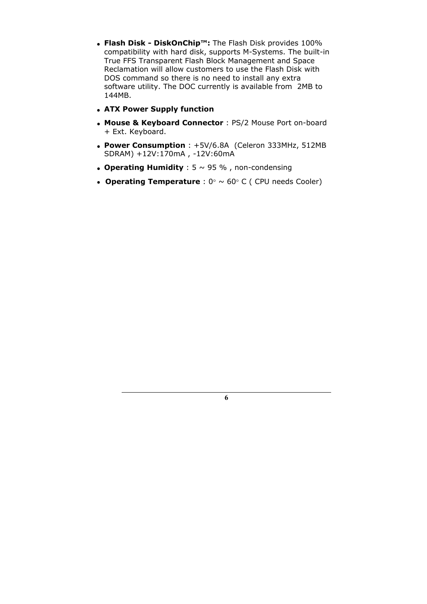- **Flash Disk DiskOnChip™:** The Flash Disk provides 100% compatibility with hard disk, supports M-Systems. The built-in True FFS Transparent Flash Block Management and Space Reclamation will allow customers to use the Flash Disk with DOS command so there is no need to install any extra software utility. The DOC currently is available from 2MB to 144MB.
- **ATX Power Supply function**
- **Mouse & Keyboard Connector** : PS/2 Mouse Port on-board + Ext. Keyboard.
- **Power Consumption** : +5V/6.8A (Celeron 333MHz, 512MB SDRAM) +12V:170mA , -12V:60mA
- **Operating Humidity** :  $5 \sim 95$  %, non-condensing
- **Operating Temperature** : 0° ~ 60° C ( CPU needs Cooler)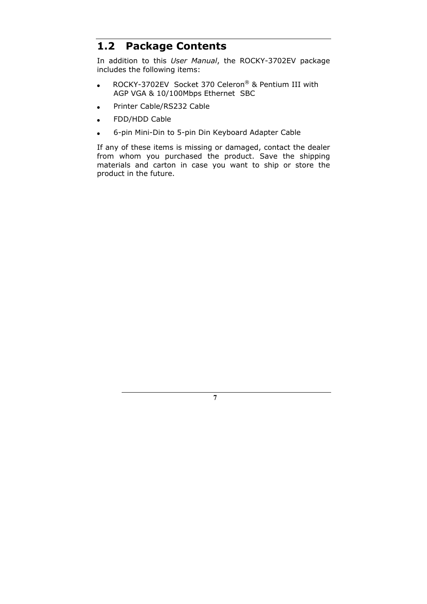#### **1.2 Package Contents**

In addition to this *User Manual*, the ROCKY-3702EV package includes the following items:

- ROCKY-3702EV Socket 370 Celeron® & Pentium III with AGP VGA & 10/100Mbps Ethernet SBC
- Printer Cable/RS232 Cable
- FDD/HDD Cable
- 6-pin Mini-Din to 5-pin Din Keyboard Adapter Cable

If any of these items is missing or damaged, contact the dealer from whom you purchased the product. Save the shipping materials and carton in case you want to ship or store the product in the future.

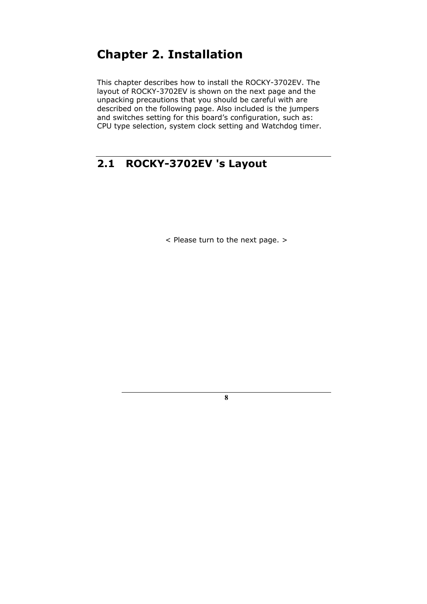# **Chapter 2. Installation**

This chapter describes how to install the ROCKY-3702EV. The layout of ROCKY-3702EV is shown on the next page and the unpacking precautions that you should be careful with are described on the following page. Also included is the jumpers and switches setting for this board's configuration, such as: CPU type selection, system clock setting and Watchdog timer.

### **2.1 ROCKY-3702EV 's Layout**

< Please turn to the next page. >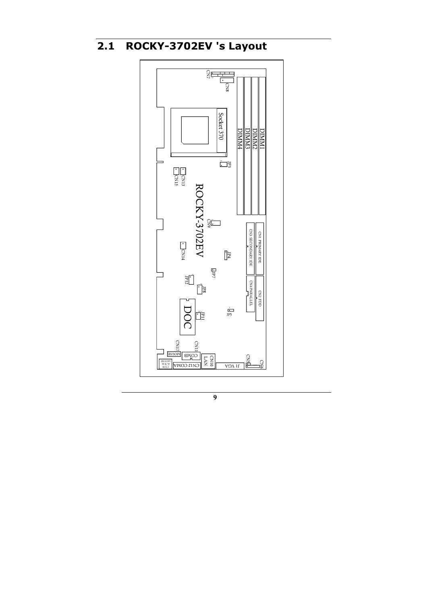# **2.1 ROCKY-3702EV 's Layout**

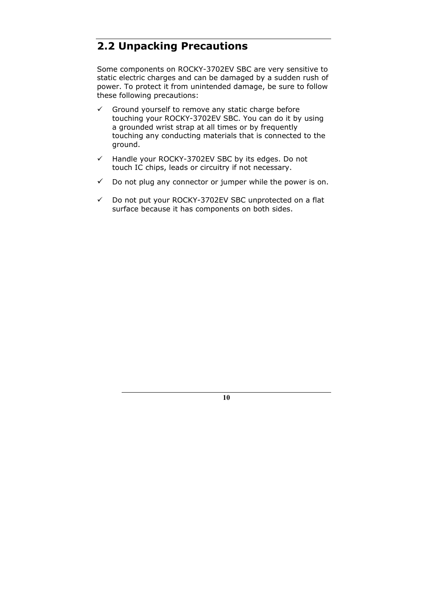### **2.2 Unpacking Precautions**

Some components on ROCKY-3702EV SBC are very sensitive to static electric charges and can be damaged by a sudden rush of power. To protect it from unintended damage, be sure to follow these following precautions:

- $\checkmark$  Ground yourself to remove any static charge before touching your ROCKY-3702EV SBC. You can do it by using a grounded wrist strap at all times or by frequently touching any conducting materials that is connected to the ground.
- $\checkmark$  Handle your ROCKY-3702EV SBC by its edges. Do not touch IC chips, leads or circuitry if not necessary.
- $\checkmark$  Do not plug any connector or jumper while the power is on.
- $\checkmark$  Do not put your ROCKY-3702EV SBC unprotected on a flat surface because it has components on both sides.

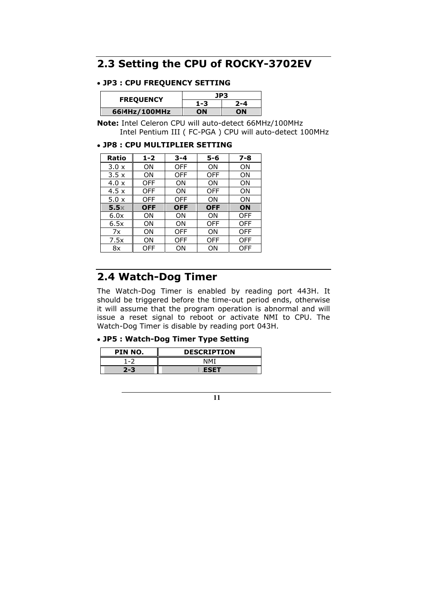### **2.3 Setting the CPU of ROCKY-3702EV**

#### • **JP3 : CPU FREQUENCY SETTING**

| <b>FREQUENCY</b> | JP3 |     |
|------------------|-----|-----|
|                  | 1-3 | 2-4 |
| 6614Hz/100MHz    | OΝ  | ωN  |

**Note:** Intel Celeron CPU will auto-detect 66MHz/100MHz Intel Pentium III ( FC-PGA ) CPU will auto-detect 100MHz

#### • **JP8 : CPU MULTIPLIER SETTING**

| Ratio        | $1 - 2$    | $3 - 4$    | $5 - 6$    | $7 - 8$    |
|--------------|------------|------------|------------|------------|
| $3.0 \times$ | ΟN         | OFF        | ΟN         | ΟN         |
| 3.5x         | ΟN         | OFF        | OFF        | OΝ         |
| 4.0 x        | <b>OFF</b> | ΟN         | ΟN         | ΟN         |
| 4.5x         | <b>OFF</b> | ON         | <b>OFF</b> | OΝ         |
| $5.0 \times$ | OFF        | <b>OFF</b> | ΟN         | OΝ         |
| 5.5x         | <b>OFF</b> | <b>OFF</b> | <b>OFF</b> | ON         |
| 6.0x         | ΟN         | ΟN         | ΟN         | <b>OFF</b> |
| 6.5x         | ON         | ON         | OFF        | OFF        |
| 7x           | ON         | OFF        | ON         | OFF        |
| 7.5x         | ΟN         | OFF        | <b>OFF</b> | <b>OFF</b> |
| 8x           | OFF        | ΟN         | ΟN         | <b>OFF</b> |

### **2.4 Watch-Dog Timer**

The Watch-Dog Timer is enabled by reading port 443H. It should be triggered before the time-out period ends, otherwise it will assume that the program operation is abnormal and will issue a reset signal to reboot or activate NMI to CPU. The Watch-Dog Timer is disable by reading port 043H.

#### • **JP5 : Watch-Dog Timer Type Setting**

| PIN NO. | <b>DESCRIPTION</b> |
|---------|--------------------|
| 1-7     | NMT                |
| 2-3     | <b>ESET</b>        |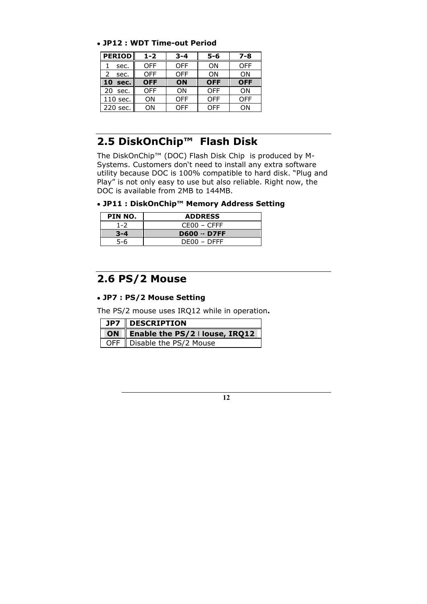#### • **JP12 : WDT Time-out Period**

| <b>PERIOD</b> | $1 - 2$    | $3 - 4$    | $5 - 6$    | $7 - 8$    |
|---------------|------------|------------|------------|------------|
| sec.          | <b>OFF</b> | <b>OFF</b> | ΟN         | <b>OFF</b> |
| sec.          | <b>OFF</b> | <b>OFF</b> | ΟN         | ΟN         |
| 10<br>sec.    | <b>OFF</b> | ON         | <b>OFF</b> | <b>OFF</b> |
| 20<br>sec.    | <b>OFF</b> | ON         | <b>OFF</b> | ΟN         |
| 110 sec.      | ΟN         | <b>OFF</b> | <b>OFF</b> | OFF        |
| 220 sec.      | ΟN         | OFF        | OFF        | ΩN         |

### **2.5 DiskOnChip™ Flash Disk**

The DiskOnChip™ (DOC) Flash Disk Chip is produced by M-Systems. Customers don't need to install any extra software utility because DOC is 100% compatible to hard disk. "Plug and Play" is not only easy to use but also reliable. Right now, the DOC is available from 2MB to 144MB.

• **JP11 : DiskOnChip™ Memory Address Setting**

| PIN NO. | <b>ADDRESS</b>      |
|---------|---------------------|
| $1 - 2$ | $CFOO - CFFF$       |
|         | <b>D600 ·· D7FF</b> |
|         | DE00 - DEFF         |

### **2.6 PS/2 Mouse**

#### • **JP7 : PS/2 Mouse Setting**

The PS/2 mouse uses IRQ12 while in operation**.** 

| $\vert$ JP7 $\vert$ DESCRIPTION   |  |  |  |
|-----------------------------------|--|--|--|
| ON Enable the PS/2   louse, IRQ12 |  |  |  |
| OFF   Disable the PS/2 Mouse      |  |  |  |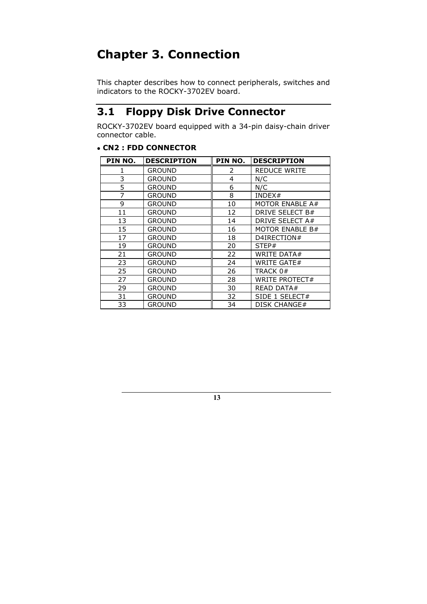# **Chapter 3. Connection**

This chapter describes how to connect peripherals, switches and indicators to the ROCKY-3702EV board.

### **3.1 Floppy Disk Drive Connector**

ROCKY-3702EV board equipped with a 34-pin daisy-chain driver connector cable.

#### • **CN2 : FDD CONNECTOR**

| PIN NO. | <b>DESCRIPTION</b> | PIN NO. | <b>DESCRIPTION</b>    |
|---------|--------------------|---------|-----------------------|
|         | <b>GROUND</b>      | 2       | <b>REDUCE WRITE</b>   |
| 3       | GROUND             | 4       | N/C                   |
| 5       | <b>GROUND</b>      | 6       | N/C                   |
| 7       | <b>GROUND</b>      | 8       | INDEX#                |
| 9       | <b>GROUND</b>      | 10      | MOTOR ENABLE A#       |
| 11      | GROUND             | 12      | DRIVE SELECT B#       |
| 13      | GROUND             | 14      | DRIVE SELECT A#       |
| 15      | <b>GROUND</b>      | 16      | MOTOR ENABLE B#       |
| 17      | <b>GROUND</b>      | 18      | D4IRECTION#           |
| 19      | <b>GROUND</b>      | 20      | STEP#                 |
| 21      | <b>GROUND</b>      | 22      | <b>WRITE DATA#</b>    |
| 23      | <b>GROUND</b>      | 24      | <b>WRITE GATE#</b>    |
| 25      | <b>GROUND</b>      | 26      | TRACK 0#              |
| 27      | <b>GROUND</b>      | 28      | <b>WRITE PROTECT#</b> |
| 29      | <b>GROUND</b>      | 30      | READ DATA#            |
| 31      | <b>GROUND</b>      | 32      | SIDE 1 SELECT#        |
| 33      | GROUND             | 34      | <b>DISK CHANGE#</b>   |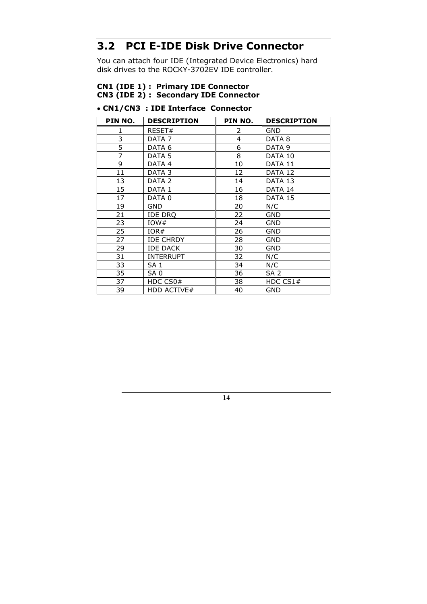### **3.2 PCI E-IDE Disk Drive Connector**

You can attach four IDE (Integrated Device Electronics) hard disk drives to the ROCKY-3702EV IDE controller.

#### **CN1 (IDE 1) : Primary IDE Connector CN3 (IDE 2) : Secondary IDE Connector**

#### • **CN1/CN3 : IDE Interface Connector**

| PIN NO. | <b>DESCRIPTION</b> | PIN NO. | <b>DESCRIPTION</b> |
|---------|--------------------|---------|--------------------|
| 1       | RESET#             | 2       | <b>GND</b>         |
| 3       | DATA 7             | 4       | DATA 8             |
| 5       | DATA 6             | 6       | DATA 9             |
| 7       | DATA 5             | 8       | DATA 10            |
| 9       | DATA 4             | 10      | DATA 11            |
| 11      | DATA 3             | 12      | DATA 12            |
| 13      | DATA 2             | 14      | DATA 13            |
| 15      | DATA 1             | 16      | DATA 14            |
| 17      | DATA 0             | 18      | DATA 15            |
| 19      | <b>GND</b>         | 20      | N/C                |
| 21      | <b>IDE DRQ</b>     | 22      | <b>GND</b>         |
| 23      | IOW#               | 24      | <b>GND</b>         |
| 25      | IOR#               | 26      | <b>GND</b>         |
| 27      | <b>IDE CHRDY</b>   | 28      | <b>GND</b>         |
| 29      | <b>IDE DACK</b>    | 30      | <b>GND</b>         |
| 31      | <b>INTERRUPT</b>   | 32      | N/C                |
| 33      | SA <sub>1</sub>    | 34      | N/C                |
| 35      | SA <sub>0</sub>    | 36      | SA <sub>2</sub>    |
| 37      | HDC CS0#           | 38      | HDC $CS1#$         |
| 39      | <b>HDD ACTIVE#</b> | 40      | <b>GND</b>         |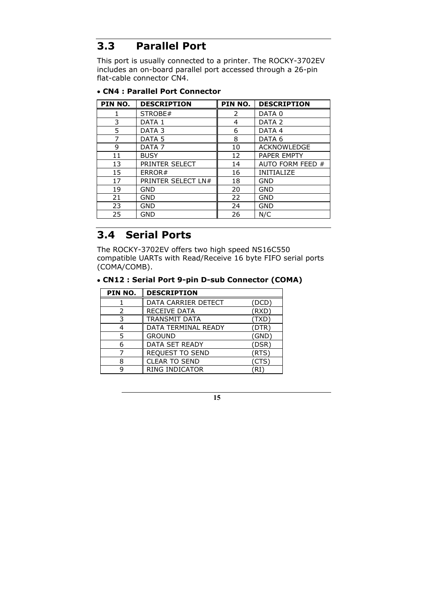### **3.3 Parallel Port**

This port is usually connected to a printer. The ROCKY-3702EV includes an on-board parallel port accessed through a 26-pin flat-cable connector CN4.

| PIN NO. | <b>DESCRIPTION</b> | PIN NO. | <b>DESCRIPTION</b> |
|---------|--------------------|---------|--------------------|
|         | STROBE#            | 2       | DATA <sub>0</sub>  |
| 3       | DATA 1             | 4       | DATA <sub>2</sub>  |
| 5       | DATA <sub>3</sub>  | 6       | DATA 4             |
| 7       | DATA <sub>5</sub>  | 8       | DATA 6             |
| 9       | DATA <sub>7</sub>  | 10      | <b>ACKNOWLEDGE</b> |
| 11      | <b>BUSY</b>        | 12      | <b>PAPER EMPTY</b> |
| 13      | PRINTER SELECT     | 14      | AUTO FORM FEED #   |
| 15      | ERROR#             | 16      | <b>INITIALIZE</b>  |
| 17      | PRINTER SELECT LN# | 18      | GND                |
| 19      | GND                | 20      | <b>GND</b>         |
| 21      | GND                | 22      | <b>GND</b>         |
| 23      | GND                | 24      | <b>GND</b>         |
| 25      | GND                | 26      | N/C                |

#### • **CN4 : Parallel Port Connector**

#### **3.4 Serial Ports**

The ROCKY-3702EV offers two high speed NS16C550 compatible UARTs with Read/Receive 16 byte FIFO serial ports (COMA/COMB).

#### • **CN12 : Serial Port 9-pin D-sub Connector (COMA)**

| PIN NO.       | <b>DESCRIPTION</b>     |       |
|---------------|------------------------|-------|
|               | DATA CARRIER DETECT    | DCD.  |
| $\mathcal{P}$ | <b>RECEIVE DATA</b>    | (RXD) |
| 3             | <b>TRANSMIT DATA</b>   | 'TXD  |
|               | DATA TERMINAL READY    | (DTR) |
| 5             | <b>GROUND</b>          | (GND) |
| 6             | DATA SET READY         | (DSR) |
|               | <b>REQUEST TO SEND</b> | (RTS) |
| 8             | <b>CLEAR TO SEND</b>   | CTS   |
|               | RING INDICATOR         |       |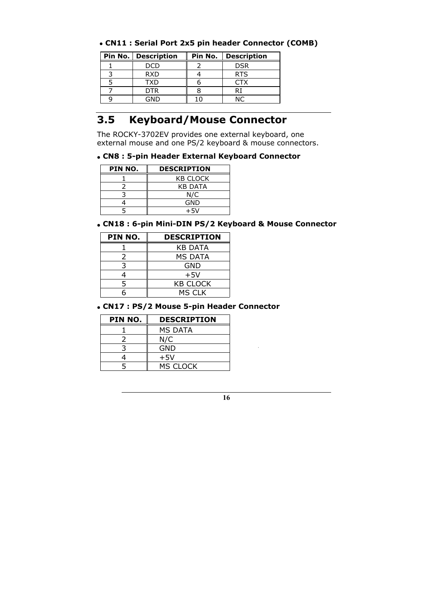#### • **CN11 : Serial Port 2x5 pin header Connector (COMB)**

| Pin No.   Description | Pin No. | <b>Description</b> |
|-----------------------|---------|--------------------|
| חמר                   |         | <b>DSR</b>         |
| <b>RXD</b>            |         | <b>RTS</b>         |
| <b>TXD</b>            |         | CTX                |
| <b>DTR</b>            |         |                    |
| חור                   |         |                    |

### **3.5 Keyboard/Mouse Connector**

The ROCKY-3702EV provides one external keyboard, one external mouse and one PS/2 keyboard & mouse connectors.

#### • **CN8 : 5-pin Header External Keyboard Connector**

| PIN NO. | <b>DESCRIPTION</b> |
|---------|--------------------|
|         | <b>KB CLOCK</b>    |
|         | <b>KB DATA</b>     |
|         | N/C                |
|         | GND                |
|         | +5V                |

#### • **CN18 : 6-pin Mini-DIN PS/2 Keyboard & Mouse Connector**

| PIN NO. | <b>DESCRIPTION</b> |
|---------|--------------------|
|         | KB DATA            |
| 2       | MS DATA            |
| 3       | GND                |
|         | $+5V$              |
| 5       | <b>KB CLOCK</b>    |
|         | <b>MS CLK</b>      |

#### • **CN17 : PS/2 Mouse 5-pin Header Connector**

| PIN NO. | <b>DESCRIPTION</b> |
|---------|--------------------|
|         | MS DATA            |
|         | N/C                |
|         | GND                |
|         | $+5V$              |
|         | MS CLOCK           |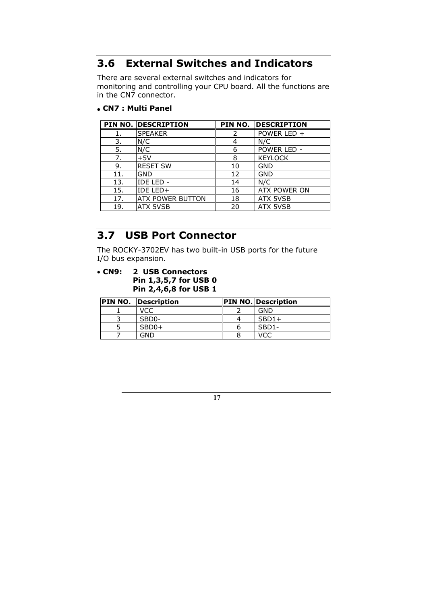### **3.6 External Switches and Indicators**

There are several external switches and indicators for monitoring and controlling your CPU board. All the functions are in the CN7 connector.

• **CN7 : Multi Panel** 

|     | <b>PIN NO. DESCRIPTION</b> | PIN NO. | <b>DESCRIPTION</b> |
|-----|----------------------------|---------|--------------------|
|     | <b>SPEAKER</b>             |         | POWER LED +        |
| 3.  | N/C                        | 4       | N/C                |
| 5.  | N/C                        | 6       | POWER LED -        |
| 7.  | $+5V$                      | 8       | <b>KEYLOCK</b>     |
| 9.  | <b>RESET SW</b>            | 10      | <b>GND</b>         |
| 11. | GND                        | 12      | <b>GND</b>         |
| 13. | IDE LED -                  | 14      | N/C                |
| 15. | IDE LED+                   | 16      | ATX POWER ON       |
| 17. | <b>ATX POWER BUTTON</b>    | 18      | <b>ATX 5VSB</b>    |
| 19. | ATX 5VSB                   | 20      | <b>ATX 5VSB</b>    |

### **3.7 USB Port Connector**

The ROCKY-3702EV has two built-in USB ports for the future I/O bus expansion.

• **CN9: 2 USB Connectors Pin 1,3,5,7 for USB 0 Pin 2,4,6,8 for USB 1**

| <b>PIN NO. Description</b> | <b>PIN NO. Description</b> |
|----------------------------|----------------------------|
| VCC                        | GND                        |
| SBD <sub>0</sub> -         | $SBD1+$                    |
| $SBD0+$                    | SBD <sub>1</sub> -         |
| GND                        |                            |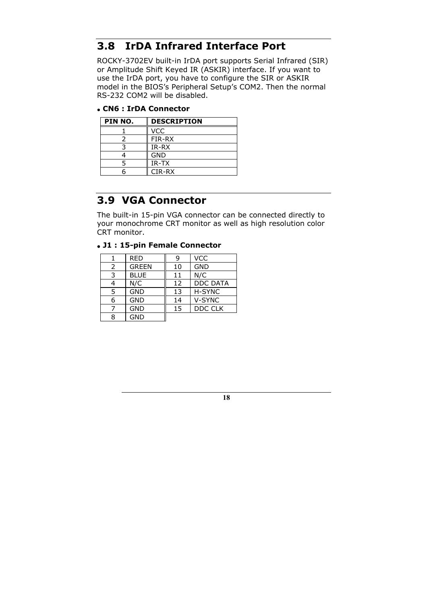#### **3.8 IrDA Infrared Interface Port**

ROCKY-3702EV built-in IrDA port supports Serial Infrared (SIR) or Amplitude Shift Keyed IR (ASKIR) interface. If you want to use the IrDA port, you have to configure the SIR or ASKIR model in the BIOS's Peripheral Setup's COM2. Then the normal RS-232 COM2 will be disabled.

• **CN6 : IrDA Connector**

| PIN NO. | <b>DESCRIPTION</b> |
|---------|--------------------|
|         | VCC                |
|         | FIR-RX             |
|         | IR-RX              |
|         | GND                |
|         | IR-TX              |
|         | CIR-RX             |

### **3.9 VGA Connector**

The built-in 15-pin VGA connector can be connected directly to your monochrome CRT monitor as well as high resolution color CRT monitor.

#### • **J1 : 15-pin Female Connector**

|   | <b>RED</b>   | 9  | <b>VCC</b>      |
|---|--------------|----|-----------------|
| 2 | <b>GREEN</b> | 10 | <b>GND</b>      |
| 3 | <b>BLUE</b>  | 11 | N/C             |
|   | N/C          | 12 | <b>DDC DATA</b> |
| 5 | <b>GND</b>   | 13 | H-SYNC          |
|   | <b>GND</b>   | 14 | V-SYNC          |
|   | <b>GND</b>   | 15 | DDC CLK         |
|   | <b>GND</b>   |    |                 |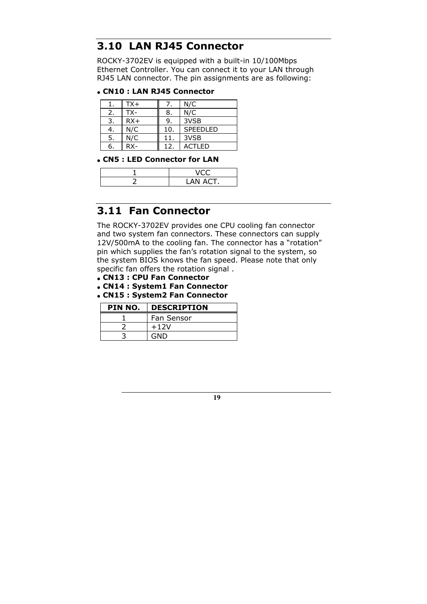#### **3.10 LAN RJ45 Connector**

ROCKY-3702EV is equipped with a built-in 10/100Mbps Ethernet Controller. You can connect it to your LAN through RJ45 LAN connector. The pin assignments are as following:

#### • **CN10 : LAN RJ45 Connector**

|    | $TX+$  |                 | N/C      |
|----|--------|-----------------|----------|
| 2. | TX-    | 8.              | N/C      |
| 3. | $RX+$  | 9.              | 3VSB     |
| 4. | N/C    | 10.             | SPEEDLED |
| 5. | N/C    | 11.             | 3VSB     |
| 6. | $RX -$ | 12 <sub>1</sub> | ACTI FD  |

#### • **CN5 : LED Connector for LAN**

| AN ACT. |
|---------|

#### **3.11 Fan Connector**

The ROCKY-3702EV provides one CPU cooling fan connector and two system fan connectors. These connectors can supply 12V/500mA to the cooling fan. The connector has a "rotation" pin which supplies the fan's rotation signal to the system, so the system BIOS knows the fan speed. Please note that only specific fan offers the rotation signal .

- • **CN13 : CPU Fan Connector**
- • **CN14 : System1 Fan Connector**
- • **CN15 : System2 Fan Connector**

| PIN NO. | <b>DESCRIPTION</b> |  |
|---------|--------------------|--|
|         | Fan Sensor         |  |
|         | $+12V$             |  |
|         | GND                |  |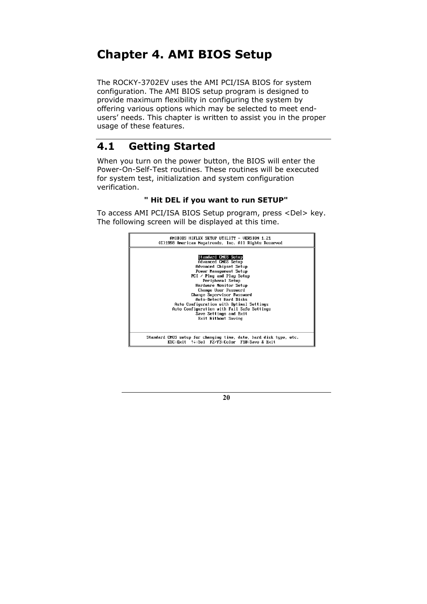# **Chapter 4. AMI BIOS Setup**

The ROCKY-3702EV uses the AMI PCI/ISA BIOS for system configuration. The AMI BIOS setup program is designed to provide maximum flexibility in configuring the system by offering various options which may be selected to meet endusers' needs. This chapter is written to assist you in the proper usage of these features.

#### **4.1 Getting Started**

When you turn on the power button, the BIOS will enter the Power-On-Self-Test routines. These routines will be executed for system test, initialization and system configuration verification.

#### **" Hit DEL if you want to run SETUP"**

To access AMI PCI/ISA BIOS Setup program, press <Del> key. The following screen will be displayed at this time.

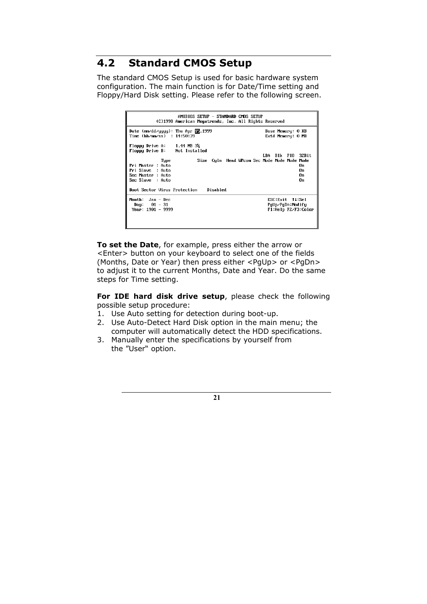### **4.2 Standard CMOS Setup**

The standard CMOS Setup is used for basic hardware system configuration. The main function is for Date/Time setting and Floppy/Hard Disk setting. Please refer to the following screen.

| AMIBIOS SETUP – STANDARD CMOS SETUP<br>(C)1998 American Megatrends, Inc. All Rights Reserved                                                                                                                                                                 |                                             |
|--------------------------------------------------------------------------------------------------------------------------------------------------------------------------------------------------------------------------------------------------------------|---------------------------------------------|
| Date (mm/dd/yyyy): Thu Apr 15,1999                                                                                                                                                                                                                           | Base Memory: 0 KB                           |
| Time (hh/mm/ss) : 14:50:39                                                                                                                                                                                                                                   | Extd Memory: 0 MB                           |
| Floppy Drive A: $1.44$ MB $3\frac{1}{2}$<br>Floppy Drive B: Not Installed<br>Size Culn Head WPcom Sec Mode Mode Mode Mode<br>Type<br>Pri Master : Auto<br>Pri Slave : Auto<br>Sec Master : Auto<br>Sec Slave : Auto<br>Boot Sector Virus Protection Disabled | LBA Blk PIO 32Bit<br>Пn<br>П'n<br>n.<br>Π'n |
| Month: $Jan - Dec$                                                                                                                                                                                                                                           | ESC:Exit fl:Sel                             |
| Day: $01 - 31$                                                                                                                                                                                                                                               | PqUp/PqDn:Modify                            |
| $Year: 1901 - 9999$                                                                                                                                                                                                                                          | F1:Help F2/F3:Color                         |

**To set the Date**, for example, press either the arrow or <Enter> button on your keyboard to select one of the fields (Months, Date or Year) then press either <PgUp> or <PgDn> to adjust it to the current Months, Date and Year. Do the same steps for Time setting.

**For IDE hard disk drive setup**, please check the following possible setup procedure:

- 1. Use Auto setting for detection during boot-up.
- 2. Use Auto-Detect Hard Disk option in the main menu; the computer will automatically detect the HDD specifications.
- 3. Manually enter the specifications by yourself from the "User" option.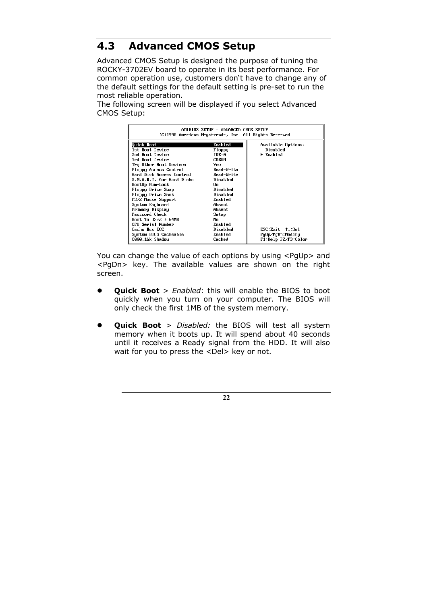### **4.3 Advanced CMOS Setup**

Advanced CMOS Setup is designed the purpose of tuning the ROCKY-3702EV board to operate in its best performance. For common operation use, customers don't have to change any of the default settings for the default setting is pre-set to run the most reliable operation.

The following screen will be displayed if you select Advanced CMOS Setup:

| AMIBIOS SETUP – ADVANCED CMOS SETUP<br>(C)1998 American Megatrends, Inc. All Rights Reserved |              |                               |
|----------------------------------------------------------------------------------------------|--------------|-------------------------------|
| Quick Boot                                                                                   | Enabled      | Available Options:            |
| 1st Boot Device                                                                              | Floppy       | Disabled                      |
| 2nd Boot Device                                                                              | IDE-0        | $\blacktriangleright$ Enabled |
| 3rd Boot Device                                                                              | <b>CDROM</b> |                               |
| Try Other Boot Devices                                                                       | Yes          |                               |
| Floppy Access Control                                                                        | Read-Write   |                               |
| Hard Disk Access Control                                                                     | Read-Write   |                               |
| S.M.A.R.T. for Hard Disks                                                                    | Disabled     |                               |
| BootUp Num-Lock                                                                              | Ոռ           |                               |
| Floppy Drive Swap                                                                            | Disabled     |                               |
| Floppy Drive Seek                                                                            | Disabled     |                               |
| PS/2 Mouse Support                                                                           | Enabled      |                               |
| System Keyboard                                                                              | Absent       |                               |
| Primary Display                                                                              | Absent       |                               |
| Password Check                                                                               | Setup        |                               |
| Boot To $0S/Z > 64MB$                                                                        | No           |                               |
| CPU Serial Number                                                                            | Enabled      |                               |
| Cache Bus ECC                                                                                | Disabled     | $ESC: Exit$ $11:Se1$          |
| Sustem BIOS Cacheable                                                                        | Enabled      | PgUp∕PgDn:Modifu              |
| COOO.16k Shadow                                                                              | Cached       | F1:Help F2/F3:Color           |

You can change the value of each options by using <PgUp> and <PgDn> key. The available values are shown on the right screen.

- **Quick Boot** > *Enabled*: this will enable the BIOS to boot quickly when you turn on your computer. The BIOS will only check the first 1MB of the system memory.
- **•** Quick Boot > *Disabled:* the BIOS will test all system memory when it boots up. It will spend about 40 seconds until it receives a Ready signal from the HDD. It will also wait for you to press the <Del> key or not.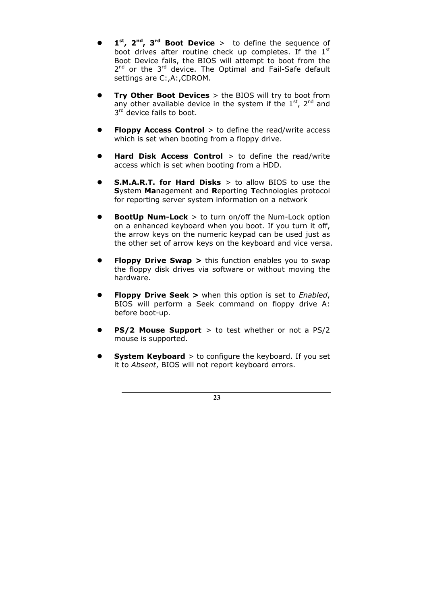- 1<sup>st</sup>, 2<sup>nd</sup>, 3<sup>rd</sup> Boot Device > to define the sequence of boot drives after routine check up completes. If the  $1<sup>st</sup>$ Boot Device fails, the BIOS will attempt to boot from the 2<sup>nd</sup> or the 3<sup>rd</sup> device. The Optimal and Fail-Safe default settings are C:,A:,CDROM.
- **Try Other Boot Devices** > the BIOS will try to boot from any other available device in the system if the  $1<sup>st</sup>$ ,  $2<sup>nd</sup>$  and 3rd device fails to boot.
- **Floppy Access Control** > to define the read/write access which is set when booting from a floppy drive.
- Hard Disk Access Control > to define the read/write access which is set when booting from a HDD.
- **S.M.A.R.T. for Hard Disks** > to allow BIOS to use the **S**ystem **Ma**nagement and **R**eporting **T**echnologies protocol for reporting server system information on a network
- **BootUp Num-Lock** > to turn on/off the Num-Lock option on a enhanced keyboard when you boot. If you turn it off, the arrow keys on the numeric keypad can be used just as the other set of arrow keys on the keyboard and vice versa.
- **Floppy Drive Swap >** this function enables you to swap the floppy disk drives via software or without moving the hardware.
- **Floppy Drive Seek >** when this option is set to *Enabled*, BIOS will perform a Seek command on floppy drive A: before boot-up.
- **PS/2 Mouse Support** > to test whether or not a PS/2 mouse is supported.
- **System Keyboard** > to configure the keyboard. If you set it to *Absent*, BIOS will not report keyboard errors.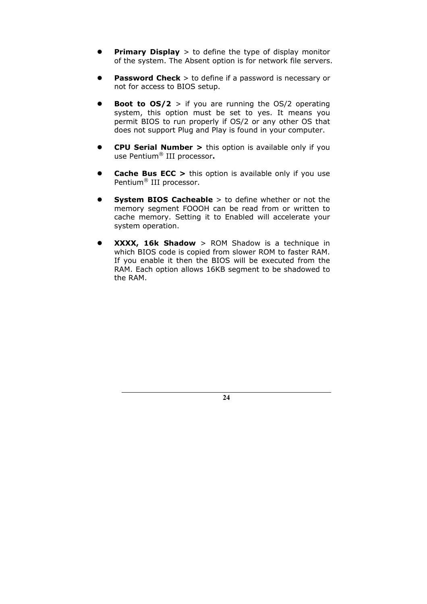- **Primary Display** > to define the type of display monitor of the system. The Absent option is for network file servers.
- **Password Check** > to define if a password is necessary or not for access to BIOS setup.
- **Boot to**  $OS/2$  > if you are running the  $OS/2$  operating system, this option must be set to yes. It means you permit BIOS to run properly if OS/2 or any other OS that does not support Plug and Play is found in your computer.
- z **CPU Serial Number >** this option is available only if you use Pentium® III processor**.**
- **Cache Bus ECC >** this option is available only if you use Pentium® III processor.
- **System BIOS Cacheable** > to define whether or not the memory segment FOOOH can be read from or written to cache memory. Setting it to Enabled will accelerate your system operation.
- z **XXXX, 16k Shadow** > ROM Shadow is a technique in which BIOS code is copied from slower ROM to faster RAM. If you enable it then the BIOS will be executed from the RAM. Each option allows 16KB segment to be shadowed to the RAM.

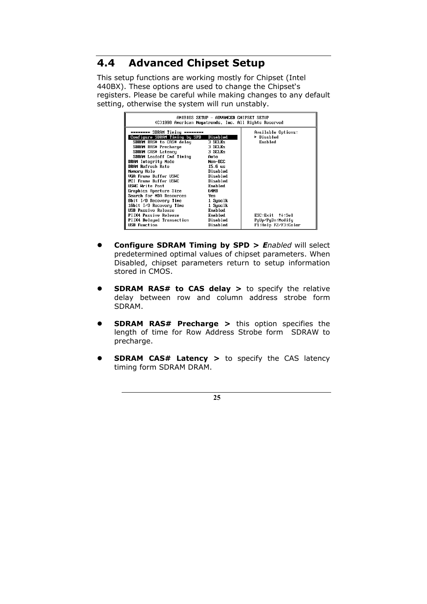### **4.4 Advanced Chipset Setup**

This setup functions are working mostly for Chipset (Intel 440BX). These options are used to change the Chipset's registers. Please be careful while making changes to any default setting, otherwise the system will run unstably.

| AMIBIOS SETUP – ADVANCED CHIPSET SETUP<br>(C)1998 American Megatrends, Inc. All Rights Reserved                                                                                                                                                                                                                                                                                                                                                                                                                             |                                                                                                                                                                                                               |                                                                                                                                      |
|-----------------------------------------------------------------------------------------------------------------------------------------------------------------------------------------------------------------------------------------------------------------------------------------------------------------------------------------------------------------------------------------------------------------------------------------------------------------------------------------------------------------------------|---------------------------------------------------------------------------------------------------------------------------------------------------------------------------------------------------------------|--------------------------------------------------------------------------------------------------------------------------------------|
| ******** SDRAM Timing ********<br>Configure SDRAM Timing by SPD<br>SDRAM RAS# to CAS# delay<br>SDRAM RAS# Precharge<br>SDRAM CAS# Latency<br>SDRAM Leadoff Cmd Timing<br>DRAM Integrity Mode<br>DRAM Refresh Rate<br>Memory Hole<br>VGA Frame Buffer USWC<br>PCI Frame Buffer USWC<br>USWC Write Post<br>Graphics Aperture Size<br>Search for MDA Resources<br>8bit I/O Recovery Time<br>16bit I/O Recovery Time<br><b>USB Passive Release</b><br>PIIX4 Passive Release<br>PIIX4 Delayed Transaction<br><b>USB</b> Function | Disabled<br>3 SCLKs<br>3 SCLKs<br>3 SCLKs<br>Auto<br>Non-ECC<br>$15.6$ us<br>Disabled<br>Disabled<br>Disabled<br>Enabled<br>64MB<br>Yes<br>1 Sysclk<br>1 Sysclk<br>Enabled<br>Enabled<br>Disabled<br>Disabled | Available Options:<br>▶ Disabled<br>Enabled<br>$ESC:Exit \quad \uparrow \downarrow : Sel$<br>PgUp/PgDn:Modify<br>F1:Help F2/F3:Color |

- **Configure SDRAM Timing by SPD >** *Enabled* will select predetermined optimal values of chipset parameters. When Disabled, chipset parameters return to setup information stored in CMOS.
- **SDRAM RAS# to CAS delay >** to specify the relative delay between row and column address strobe form SDRAM.
- **SDRAM RAS# Precharge >** this option specifies the length of time for Row Address Strobe form SDRAW to precharge.
- **SDRAM CAS# Latency >** to specify the CAS latency timing form SDRAM DRAM.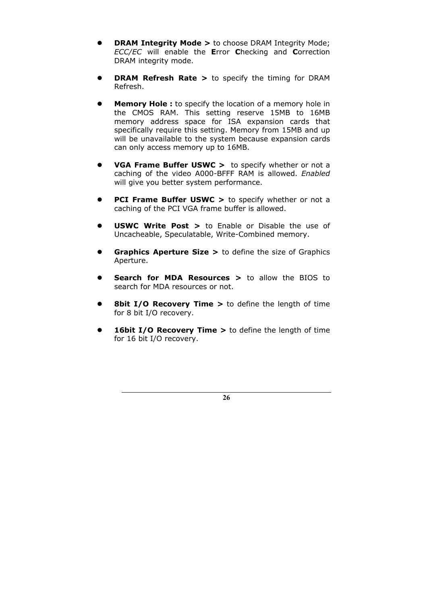- **DRAM Integrity Mode >** to choose DRAM Integrity Mode; *ECC/EC* will enable the **E**rror **C**hecking and **C**orrection DRAM integrity mode.
- **DRAM Refresh Rate >** to specify the timing for DRAM Refresh.
- **Memory Hole :** to specify the location of a memory hole in the CMOS RAM. This setting reserve 15MB to 16MB memory address space for ISA expansion cards that specifically require this setting. Memory from 15MB and up will be unavailable to the system because expansion cards can only access memory up to 16MB.
- **VGA Frame Buffer USWC >** to specify whether or not a caching of the video A000-BFFF RAM is allowed. *Enabled*  will give you better system performance.
- **PCI Frame Buffer USWC > to specify whether or not a** caching of the PCI VGA frame buffer is allowed.
- **USWC Write Post >** to Enable or Disable the use of Uncacheable, Speculatable, Write-Combined memory.
- **Graphics Aperture Size >** to define the size of Graphics Aperture.
- **•** Search for MDA Resources > to allow the BIOS to search for MDA resources or not.
- **8bit I/O Recovery Time >** to define the length of time for 8 bit I/O recovery.
- **16bit I/O Recovery Time >** to define the length of time for 16 bit I/O recovery.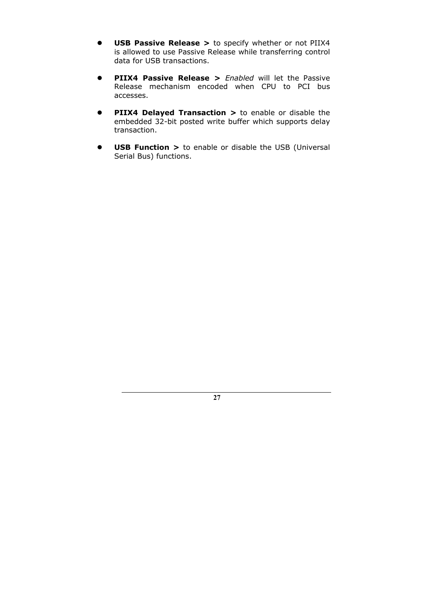- **USB Passive Release >** to specify whether or not PIIX4 is allowed to use Passive Release while transferring control data for USB transactions.
- **PIIX4 Passive Release >** *Enabled* will let the Passive Release mechanism encoded when CPU to PCI bus accesses.
- **PIIX4 Delayed Transaction >** to enable or disable the embedded 32-bit posted write buffer which supports delay transaction.
- **USB Function >** to enable or disable the USB (Universal Serial Bus) functions.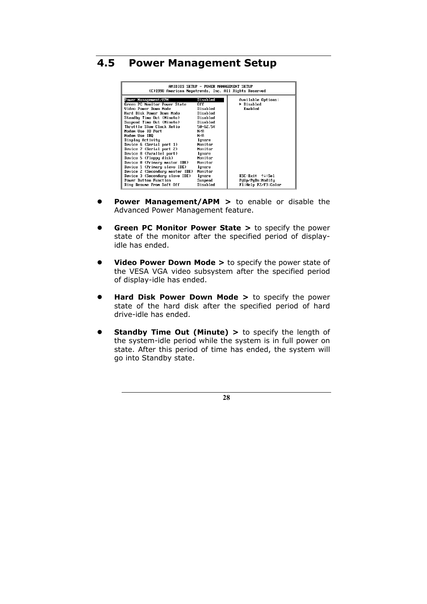#### **4.5 Power Management Setup**

| Amibios setup – power management setup<br>(C)1998 American Megatrends, Inc. All Rights Reserved |              |                           |
|-------------------------------------------------------------------------------------------------|--------------|---------------------------|
| Power Management/APM                                                                            | Disabled     | Available Options:        |
| Green PC Monitor Power State                                                                    | 0f f         | $\triangleright$ Disabled |
| Video Power Down Mode                                                                           | Disabled     | Enabled                   |
| Hard Disk Power Down Mode                                                                       | Disabled     |                           |
| Standby Time Out (Minute)                                                                       | Disabled     |                           |
| Suspend Time Out (Minute)                                                                       | Disabled     |                           |
| Throttle Slow Clock Ratio                                                                       | $50 - 62.5%$ |                           |
| Modem Use IO Port                                                                               | N/A          |                           |
| Modem Use IRO                                                                                   | N/F          |                           |
| Displau Activitu                                                                                | Ignore       |                           |
| Device 6 (Serial port 1)                                                                        | Monitor      |                           |
| Device 7 (Serial port 2)                                                                        | Monitor      |                           |
| Device 8 (Parallel port)                                                                        | Ignore       |                           |
| Device 5 (Floppy disk)                                                                          | Monitor      |                           |
| Device 0 (Primary master IDE)                                                                   | Monitor      |                           |
| Device 1 (Primary slave IDE)                                                                    | Ignore       |                           |
| Device 2 (Secondary master IDE)                                                                 | Monitor      |                           |
| Device 3 (Secondary slave IDE)                                                                  | Ignore       | ESC Exit 14:Sel           |
| Power Button Function                                                                           | Suspend      | PgUp/PgDn:Modify          |
| Ring Resume From Soft Off                                                                       | Disabled     | F1 Help F2/F3:Color       |

- **Power Management/APM >** to enable or disable the Advanced Power Management feature.
- **Green PC Monitor Power State >** to specify the power state of the monitor after the specified period of displayidle has ended.
- **Video Power Down Mode >** to specify the power state of the VESA VGA video subsystem after the specified period of display-idle has ended.
- **Hard Disk Power Down Mode >** to specify the power state of the hard disk after the specified period of hard drive-idle has ended.
- **Standby Time Out (Minute) >** to specify the length of the system-idle period while the system is in full power on state. After this period of time has ended, the system will go into Standby state.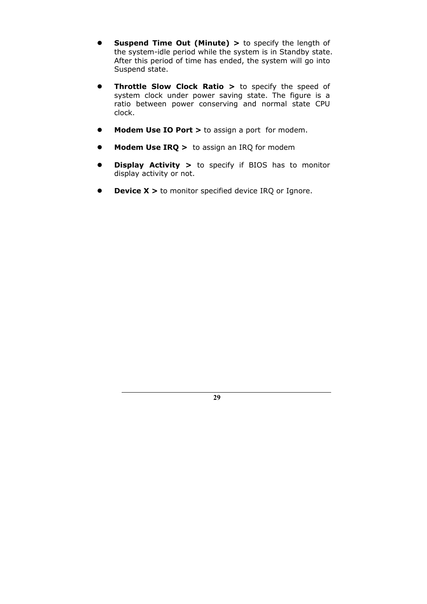- **•** Suspend Time Out (Minute) > to specify the length of the system-idle period while the system is in Standby state. After this period of time has ended, the system will go into Suspend state.
- **Throttle Slow Clock Ratio >** to specify the speed of system clock under power saving state. The figure is a ratio between power conserving and normal state CPU clock.
- **Modem Use IO Port >** to assign a port for modem.
- **Modem Use IRQ >** to assign an IRQ for modem
- **Display Activity >** to specify if BIOS has to monitor display activity or not.
- **Device X >** to monitor specified device IRQ or Ignore.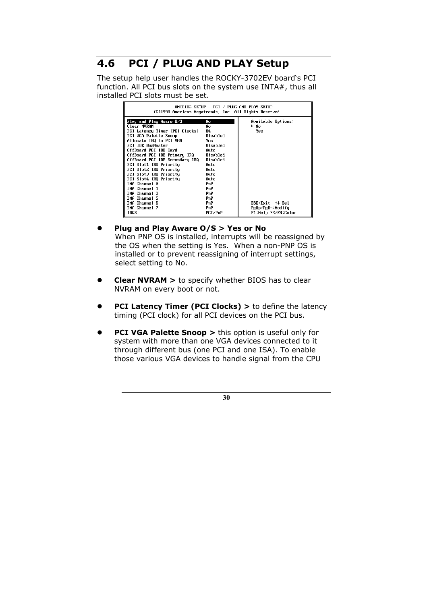### **4.6 PCI / PLUG AND PLAY Setup**

The setup help user handles the ROCKY-3702EV board's PCI function. All PCI bus slots on the system use INTA#, thus all installed PCI slots must be set.

| $AMIRIOS$ setup – PCT $\times$ PLUG and PLAY setup<br>(C)1998 American Megatrends, Inc. All Rights Reserved                                                           |                                                      |                                                            |
|-----------------------------------------------------------------------------------------------------------------------------------------------------------------------|------------------------------------------------------|------------------------------------------------------------|
| Plug and Play Aware O⁄S<br>Clear NVRAM<br>PCI Latency Timer (PCI Clocks)<br>PCI VGA Palette Snoop<br>Allocate IRQ to PCI VGA<br><b>PCI IDE BusMaster</b>              | No<br>No<br>64<br>Disabled<br>Yes<br>Disabled        | Available Options:<br>≻ No<br>Yes                          |
| OffBoard PCI IDE Card<br>OffBoard PCI IDE Primary IRQ<br>OffBoard PCI IDE Secondary IRQ<br>PCI Slot1 IRQ Priority<br>PCI Slot2 IRQ Priority<br>PCI Slot3 IRQ Priority | Auto<br>Disabled<br>Disabled<br>Auto<br>Auto<br>Auto |                                                            |
| PCI Slot4 IRQ Priority<br>DMA Channel 0<br>DMA Channel 1<br><b>NMA Channel 3</b><br><b>NMA Channel 5</b>                                                              | Auto<br>PnP<br>PnP<br>PnP<br>PnP                     |                                                            |
| DMA Channel 6<br>DMA Channel 7<br>IRO3                                                                                                                                | PnP<br>PnP<br>PCI/PnP                                | ESC:Exit ↑↓:Sel<br>PqUp/PqDn:Modify<br>F1:Help F2/F3:Color |

- z **Plug and Play Aware O/S > Yes or No**  When PNP OS is installed, interrupts will be reassigned by the OS when the setting is Yes. When a non-PNP OS is installed or to prevent reassigning of interrupt settings, select setting to No.
- **Clear NVRAM >** to specify whether BIOS has to clear NVRAM on every boot or not.
- **PCI Latency Timer (PCI Clocks) >** to define the latency timing (PCI clock) for all PCI devices on the PCI bus.
- **PCI VGA Palette Snoop >** this option is useful only for system with more than one VGA devices connected to it through different bus (one PCI and one ISA). To enable those various VGA devices to handle signal from the CPU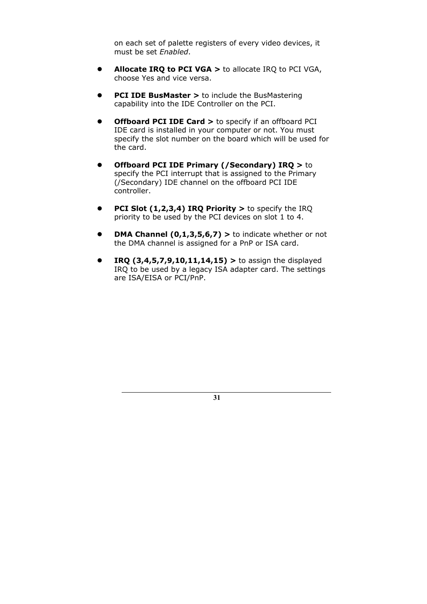on each set of palette registers of every video devices, it must be set *Enabled*.

- **Allocate IRQ to PCI VGA >** to allocate IRQ to PCI VGA, choose Yes and vice versa.
- **PCI IDE BusMaster > to include the BusMastering** capability into the IDE Controller on the PCI.
- **Offboard PCI IDE Card >** to specify if an offboard PCI IDE card is installed in your computer or not. You must specify the slot number on the board which will be used for the card.
- **•** Offboard PCI IDE Primary (/Secondary) IRQ > to specify the PCI interrupt that is assigned to the Primary (/Secondary) IDE channel on the offboard PCI IDE controller.
- **PCI Slot (1,2,3,4) IRQ Priority >** to specify the IRQ priority to be used by the PCI devices on slot 1 to 4.
- **DMA Channel**  $(0,1,3,5,6,7)$  **> to indicate whether or not** the DMA channel is assigned for a PnP or ISA card.
- z **IRQ (3,4,5,7,9,10,11,14,15) >** to assign the displayed IRQ to be used by a legacy ISA adapter card. The settings are ISA/EISA or PCI/PnP.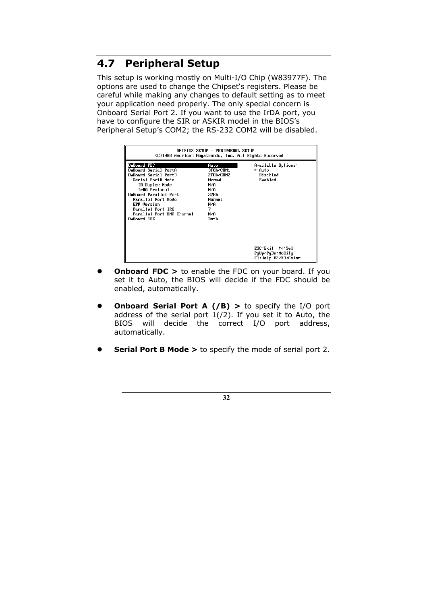### **4.7 Peripheral Setup**

This setup is working mostly on Multi-I/O Chip (W83977F). The options are used to change the Chipset's registers. Please be careful while making any changes to default setting as to meet your application need properly. The only special concern is Onboard Serial Port 2. If you want to use the IrDA port, you have to configure the SIR or ASKIR model in the BIOS's Peripheral Setup's COM2; the RS-232 COM2 will be disabled.

|                                                                                                                                                                                                                                                           | AMIBIOS SETUP - PERIPHERAL SETUP<br>(C)1998 American Megatrends, Inc. All Rights Reserved            |                                                            |
|-----------------------------------------------------------------------------------------------------------------------------------------------------------------------------------------------------------------------------------------------------------|------------------------------------------------------------------------------------------------------|------------------------------------------------------------|
| OnBoard FDC<br>AnBoard Serial PortA<br>OnBoard Serial PortB<br>Serial PortB Mode<br>IR Duplex Mode<br>IrDA Protocol<br>OnBoard Parallel Port<br>Parallel Port Mode<br><b>EPP Version</b><br>Parallel Port IRQ<br>Parallel Port DMA Channel<br>OnBoard IDE | Auto<br>3F8h∕COM1<br>2F8h∠COM2<br>Normal<br>N/A<br>N/A<br>378h<br>Norma 1<br>N/A<br>7<br>N/A<br>Both | Available Options:<br>⊁ Auto<br>Disabled<br>Enabled        |
|                                                                                                                                                                                                                                                           |                                                                                                      | ESC:Exit ↑↓:Sel<br>PaUp/PaDn:Modifu<br>F1:Help F2/F3:Color |

- **Onboard FDC >** to enable the FDC on your board. If you set it to Auto, the BIOS will decide if the FDC should be enabled, automatically.
- **•** Onboard Serial Port A (/B) > to specify the I/O port address of the serial port  $1/(2)$ . If you set it to Auto, the BIOS will decide the correct I/O port address, automatically.
- **Serial Port B Mode > to specify the mode of serial port 2.**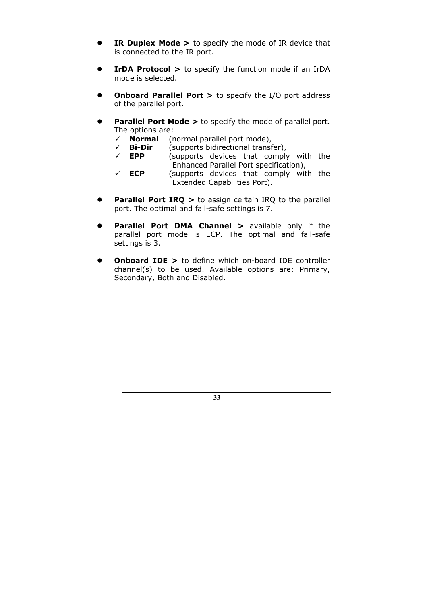- **IR Duplex Mode >** to specify the mode of IR device that is connected to the IR port.
- **IrDA Protocol >** to specify the function mode if an IrDA mode is selected.
- **Onboard Parallel Port > to specify the I/O port address** of the parallel port.
- **Parallel Port Mode >** to specify the mode of parallel port. The options are:
	- **√ Normal** (normal parallel port mode),<br>**√ Bi-Dir** (supports bidirectional transf
	- $\checkmark$  **Bi-Dir** (supports bidirectional transfer),<br> $\checkmark$  **EPP** (supports devices that comply
	- (supports devices that comply with the Enhanced Parallel Port specification),
	- $\checkmark$  **ECP** (supports devices that comply with the Extended Capabilities Port).
- **Parallel Port IRQ >** to assign certain IRQ to the parallel port. The optimal and fail-safe settings is 7.
- **Parallel Port DMA Channel >** available only if the parallel port mode is ECP. The optimal and fail-safe settings is 3.
- **Onboard IDE >** to define which on-board IDE controller channel(s) to be used. Available options are: Primary, Secondary, Both and Disabled.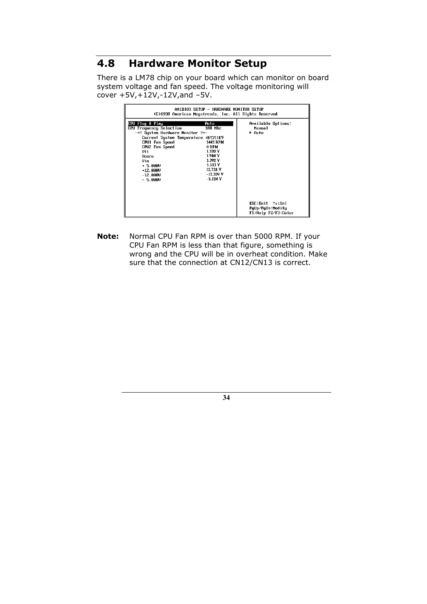### **4.8 Hardware Monitor Setup**

There is a LM78 chip on your board which can monitor on board system voltage and fan speed. The voltage monitoring will cover +5V,+12V,-12V,and –5V.

| AMIBIOS SETUP – HARDWARE MONITOR SETUP<br>(C)1998 American Megatrends, Inc. All Rights Reserved                                                                                                                                                                                                                                                                                     |                                                              |
|-------------------------------------------------------------------------------------------------------------------------------------------------------------------------------------------------------------------------------------------------------------------------------------------------------------------------------------------------------------------------------------|--------------------------------------------------------------|
| CPU Plug & Play<br>Auto<br>CPU Frequency Selection<br>100 Mhz<br>-=≡ System Hardware Monitor ≡=-<br>Current System Temperature 48'C/118'F<br>CPU1 Fan Speed<br><b>5443 RPM</b><br>CPUZ Fan Speed<br><b>ORPM</b><br>1.520 V<br>Utt.<br>1.984 V<br>Vcore<br>3.392 V<br>Vio<br>$5.113$ V<br>$+ 5.000$<br>12.728 V<br>$+12.900$<br>$-12.209$ V<br>$-12.000$<br>$-5.124$ V<br>$-5.000$ v | Available Options:<br>Manua I<br>► Auto                      |
|                                                                                                                                                                                                                                                                                                                                                                                     | ESC: Exit ↑↓: Sel<br>PgUp/PgDn:Modify<br>F1:Help F2/F3:Color |

**Note:** Normal CPU Fan RPM is over than 5000 RPM. If your CPU Fan RPM is less than that figure, something is wrong and the CPU will be in overheat condition. Make sure that the connection at CN12/CN13 is correct.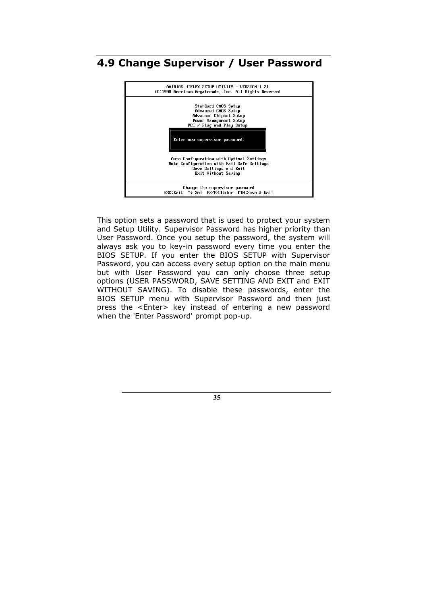

### **4.9 Change Supervisor / User Password**

This option sets a password that is used to protect your system and Setup Utility. Supervisor Password has higher priority than User Password. Once you setup the password, the system will always ask you to key-in password every time you enter the BIOS SETUP. If you enter the BIOS SETUP with Supervisor Password, you can access every setup option on the main menu but with User Password you can only choose three setup options (USER PASSWORD, SAVE SETTING AND EXIT and EXIT WITHOUT SAVING). To disable these passwords, enter the BIOS SETUP menu with Supervisor Password and then just press the <Enter> key instead of entering a new password when the 'Enter Password' prompt pop-up.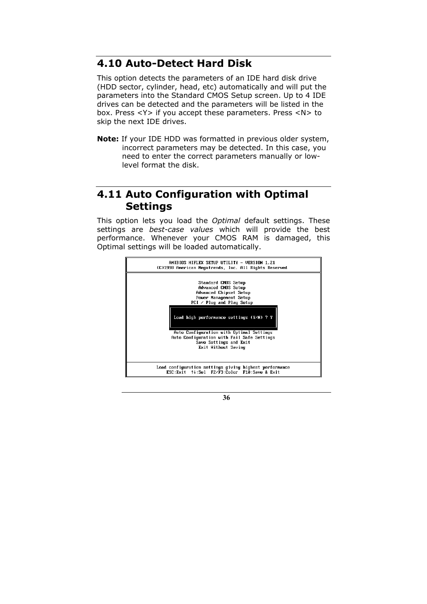#### **4.10 Auto-Detect Hard Disk**

This option detects the parameters of an IDE hard disk drive (HDD sector, cylinder, head, etc) automatically and will put the parameters into the Standard CMOS Setup screen. Up to 4 IDE drives can be detected and the parameters will be listed in the box. Press <Y> if you accept these parameters. Press <N> to skip the next IDE drives.

**Note:** If your IDE HDD was formatted in previous older system, incorrect parameters may be detected. In this case, you need to enter the correct parameters manually or lowlevel format the disk.

### **4.11 Auto Configuration with Optimal Settings**

This option lets you load the *Optimal* default settings. These settings are *best-case values* which will provide the best performance. Whenever your CMOS RAM is damaged, this Optimal settings will be loaded automatically.

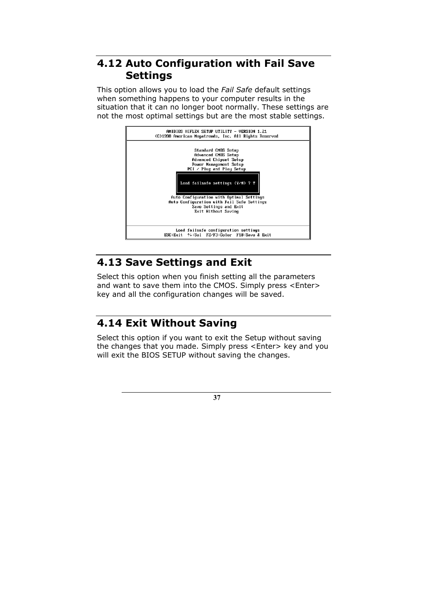### **4.12 Auto Configuration with Fail Save Settings**

This option allows you to load the *Fail Safe* default settings when something happens to your computer results in the situation that it can no longer boot normally. These settings are not the most optimal settings but are the most stable settings.



### **4.13 Save Settings and Exit**

Select this option when you finish setting all the parameters and want to save them into the CMOS. Simply press <Enter> key and all the configuration changes will be saved.

### **4.14 Exit Without Saving**

Select this option if you want to exit the Setup without saving the changes that you made. Simply press <Enter> key and you will exit the BIOS SETUP without saving the changes.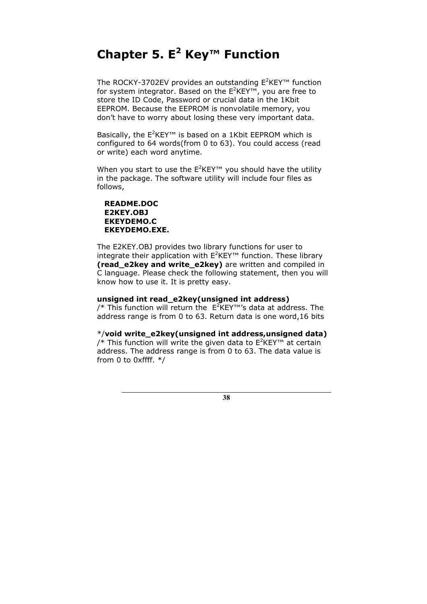# **Chapter 5. E2 Key™ Function**

The ROCKY-3702EV provides an outstanding  $E^2$ KEY<sup>™</sup> function for system integrator. Based on the  $E^2$ KEY<sup>™</sup>, you are free to store the ID Code, Password or crucial data in the 1Kbit EEPROM. Because the EEPROM is nonvolatile memory, you don't have to worry about losing these very important data.

Basically, the  $E^2$ KEY<sup>™</sup> is based on a 1Kbit EEPROM which is configured to 64 words(from 0 to 63). You could access (read or write) each word anytime.

When you start to use the  $E^2$ KEY<sup>™</sup> you should have the utility in the package. The software utility will include four files as follows,

 **README.DOC E2KEY.OBJ EKEYDEMO.C EKEYDEMO.EXE.** 

The E2KEY.OBJ provides two library functions for user to integrate their application with  $E^2$ KEY<sup>™</sup> function. These library **(read\_e2key and write\_e2key)** are written and compiled in C language. Please check the following statement, then you will know how to use it. It is pretty easy.

#### **unsigned int read\_e2key(unsigned int address)**

/\* This function will return the  $E^2$ KEY™'s data at address. The address range is from 0 to 63. Return data is one word,16 bits

\*/**void write\_e2key(unsigned int address,unsigned data)**  /\* This function will write the given data to  $E^2$ KEY™ at certain address. The address range is from 0 to 63. The data value is from 0 to 0xffff. \*/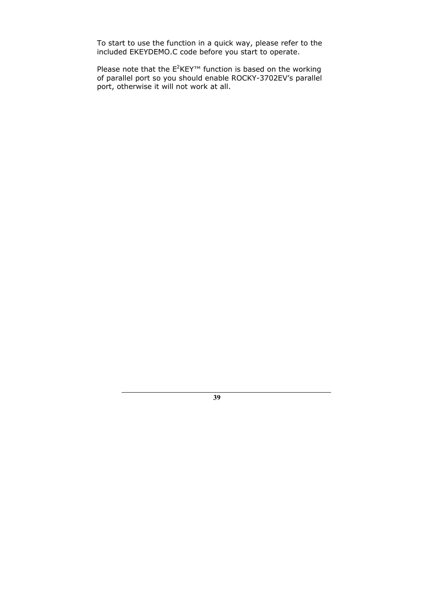To start to use the function in a quick way, please refer to the included EKEYDEMO.C code before you start to operate.

Please note that the  $E^2$ KEY™ function is based on the working of parallel port so you should enable ROCKY-3702EV's parallel port, otherwise it will not work at all.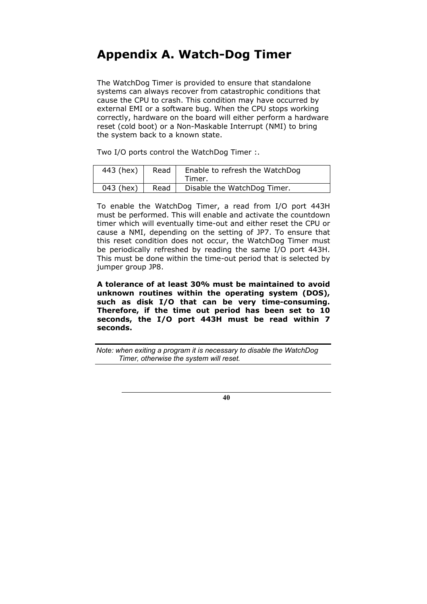## **Appendix A. Watch-Dog Timer**

The WatchDog Timer is provided to ensure that standalone systems can always recover from catastrophic conditions that cause the CPU to crash. This condition may have occurred by external EMI or a software bug. When the CPU stops working correctly, hardware on the board will either perform a hardware reset (cold boot) or a Non-Maskable Interrupt (NMI) to bring the system back to a known state.

Two I/O ports control the WatchDog Timer :.

| 443 (hex) | Read | Enable to refresh the WatchDog<br>Timer. |
|-----------|------|------------------------------------------|
| 043 (hex) | Read | Disable the WatchDog Timer.              |

To enable the WatchDog Timer, a read from I/O port 443H must be performed. This will enable and activate the countdown timer which will eventually time-out and either reset the CPU or cause a NMI, depending on the setting of JP7. To ensure that this reset condition does not occur, the WatchDog Timer must be periodically refreshed by reading the same I/O port 443H. This must be done within the time-out period that is selected by jumper group JP8.

**A tolerance of at least 30% must be maintained to avoid unknown routines within the operating system (DOS), such as disk I/O that can be very time-consuming. Therefore, if the time out period has been set to 10 seconds, the I/O port 443H must be read within 7 seconds.** 

*Note: when exiting a program it is necessary to disable the WatchDog Timer, otherwise the system will reset.*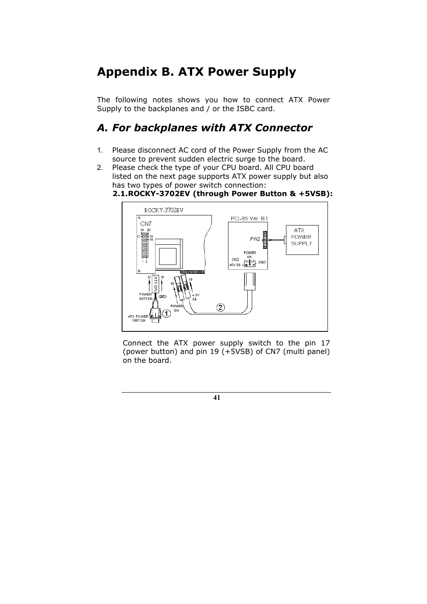# **Appendix B. ATX Power Supply**

The following notes shows you how to connect ATX Power Supply to the backplanes and / or the ISBC card.

### *A. For backplanes with ATX Connector*

- 1. Please disconnect AC cord of the Power Supply from the AC source to prevent sudden electric surge to the board.
- 2. Please check the type of your CPU board. All CPU board listed on the next page supports ATX power supply but also has two types of power switch connection:

#### **2.1. ROCKY-3702EV (through Power Button & +5VSB):**



Connect the ATX power supply switch to the pin 17 (power button) and pin 19 (+5VSB) of CN7 (multi panel) on the board.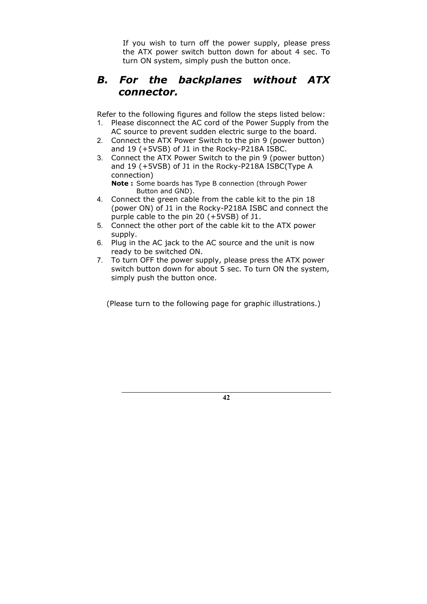If you wish to turn off the power supply, please press the ATX power switch button down for about 4 sec. To turn ON system, simply push the button once.

### *B. For the backplanes without ATX connector.*

Refer to the following figures and follow the steps listed below:

- 1. Please disconnect the AC cord of the Power Supply from the AC source to prevent sudden electric surge to the board.
- 2. Connect the ATX Power Switch to the pin 9 (power button) and 19 (+5VSB) of J1 in the Rocky-P218A ISBC.
- 3. Connect the ATX Power Switch to the pin 9 (power button) and 19 (+5VSB) of J1 in the Rocky-P218A ISBC(Type A connection)

**Note :** Some boards has Type B connection (through Power Button and GND).

- 4. Connect the green cable from the cable kit to the pin 18 (power ON) of J1 in the Rocky-P218A ISBC and connect the purple cable to the pin 20 (+5VSB) of J1.
- 5. Connect the other port of the cable kit to the ATX power supply.
- 6. Plug in the AC jack to the AC source and the unit is now ready to be switched ON.
- 7. To turn OFF the power supply, please press the ATX power switch button down for about 5 sec. To turn ON the system, simply push the button once.

(Please turn to the following page for graphic illustrations.)

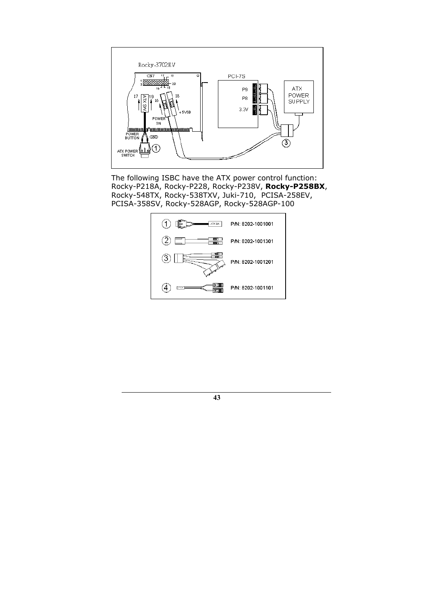

The following ISBC have the ATX power control function: Rocky-P218A, Rocky-P228, Rocky-P238V, **Rocky-P258BX**, Rocky-548TX, Rocky-538TXV, Juki-710, PCISA-258EV, PCISA-358SV, Rocky-528AGP, Rocky-528AGP-100

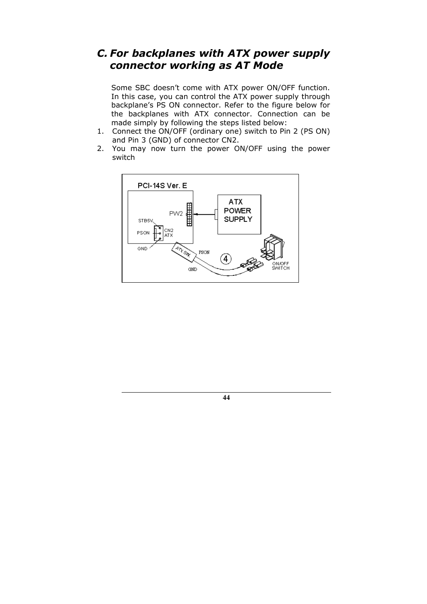### *C. For backplanes with ATX power supply connector working as AT Mode*

Some SBC doesn't come with ATX power ON/OFF function. In this case, you can control the ATX power supply through backplane's PS ON connector. Refer to the figure below for the backplanes with ATX connector. Connection can be made simply by following the steps listed below:

- 1. Connect the ON/OFF (ordinary one) switch to Pin 2 (PS ON) and Pin 3 (GND) of connector CN2.
- 2. You may now turn the power ON/OFF using the power switch



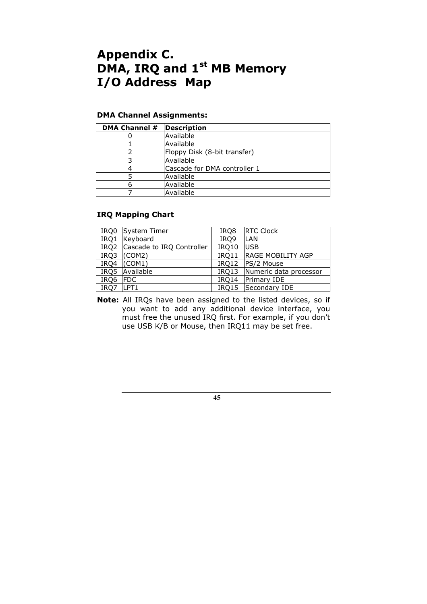# **Appendix C. DMA, IRQ and 1st MB Memory I/O Address Map**

#### **DMA Channel Assignments:**

| DMA Channel # | <b>Description</b>           |
|---------------|------------------------------|
|               | Available                    |
|               | Available                    |
|               | Floppy Disk (8-bit transfer) |
|               | Available                    |
|               | Cascade for DMA controller 1 |
|               | Available                    |
|               | Available                    |
|               | Available                    |

#### **IRQ Mapping Chart**

| IRQ0 | System Timer                   | IRQ8  | <b>RTC Clock</b>             |
|------|--------------------------------|-------|------------------------------|
| IRQ1 | Keyboard                       | IRQ9  | <b>LAN</b>                   |
|      | IRQ2 Cascade to IRQ Controller | IRQ10 | <b>USB</b>                   |
|      | $IRQ3$ (COM2)                  |       | IRQ11   RAGE MOBILITY AGP    |
|      | $IRQ4$ (COM1)                  |       | IRQ12 PS/2 Mouse             |
| IRQ5 | Available                      |       | IRQ13 Numeric data processor |
| IRQ6 | <b>IFDC</b>                    |       | IRQ14 Primary IDE            |
| IRO7 | LPT1                           |       | IRQ15 Secondary IDE          |

**Note:** All IRQs have been assigned to the listed devices, so if you want to add any additional device interface, you must free the unused IRQ first. For example, if you don't use USB K/B or Mouse, then IRQ11 may be set free.